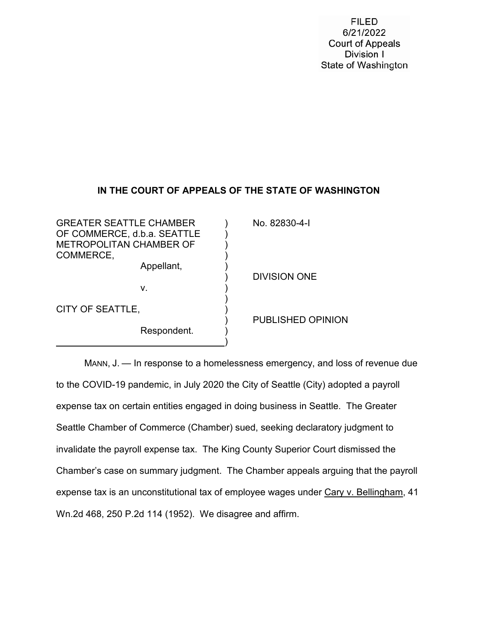**FILED** 6/21/2022 **Court of Appeals** Division I State of Washington

# **IN THE COURT OF APPEALS OF THE STATE OF WASHINGTON**

GREATER SEATTLE CHAMBER (32830-4-I OF COMMERCE, d.b.a. SEATTLE ) METROPOLITAN CHAMBER OF ) COMMERCE, Appellant, ) ) DIVISION ONE v. ) ) and the contract of  $\overline{a}$ CITY OF SEATTLE, ) ) PUBLISHED OPINION Respondent. ) )

MANN, J. — In response to a homelessness emergency, and loss of revenue due to the COVID-19 pandemic, in July 2020 the City of Seattle (City) adopted a payroll expense tax on certain entities engaged in doing business in Seattle. The Greater Seattle Chamber of Commerce (Chamber) sued, seeking declaratory judgment to invalidate the payroll expense tax. The King County Superior Court dismissed the Chamber's case on summary judgment. The Chamber appeals arguing that the payroll expense tax is an unconstitutional tax of employee wages under Cary v. Bellingham, 41 Wn.2d 468, 250 P.2d 114 (1952). We disagree and affirm.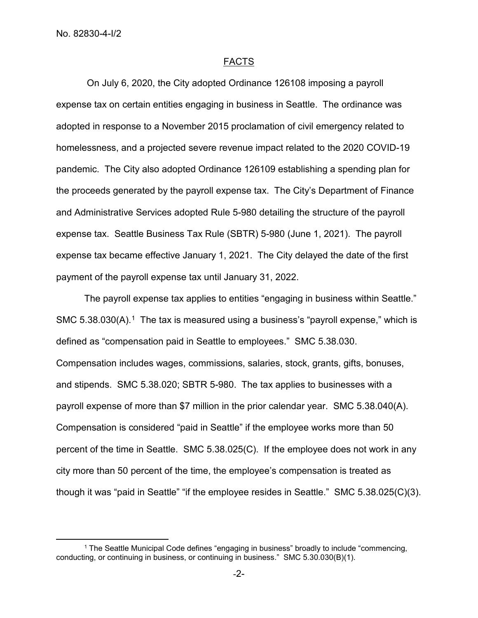$\overline{a}$ 

## FACTS

On July 6, 2020, the City adopted Ordinance 126108 imposing a payroll expense tax on certain entities engaging in business in Seattle. The ordinance was adopted in response to a November 2015 proclamation of civil emergency related to homelessness, and a projected severe revenue impact related to the 2020 COVID-19 pandemic. The City also adopted Ordinance 126109 establishing a spending plan for the proceeds generated by the payroll expense tax. The City's Department of Finance and Administrative Services adopted Rule 5-980 detailing the structure of the payroll expense tax. Seattle Business Tax Rule (SBTR) 5-980 (June 1, 2021). The payroll expense tax became effective January 1, 2021. The City delayed the date of the first payment of the payroll expense tax until January 31, 2022.

The payroll expense tax applies to entities "engaging in business within Seattle." SMC  $5.38.030(A)$ <sup>[1](#page-1-0)</sup>. The tax is measured using a business's "payroll expense," which is defined as "compensation paid in Seattle to employees." SMC 5.38.030. Compensation includes wages, commissions, salaries, stock, grants, gifts, bonuses, and stipends. SMC 5.38.020; SBTR 5-980. The tax applies to businesses with a payroll expense of more than \$7 million in the prior calendar year. SMC 5.38.040(A). Compensation is considered "paid in Seattle" if the employee works more than 50 percent of the time in Seattle. SMC 5.38.025(C). If the employee does not work in any city more than 50 percent of the time, the employee's compensation is treated as though it was "paid in Seattle" "if the employee resides in Seattle." SMC 5.38.025(C)(3).

<span id="page-1-0"></span><sup>1</sup> The Seattle Municipal Code defines "engaging in business" broadly to include "commencing, conducting, or continuing in business, or continuing in business." SMC 5.30.030(B)(1).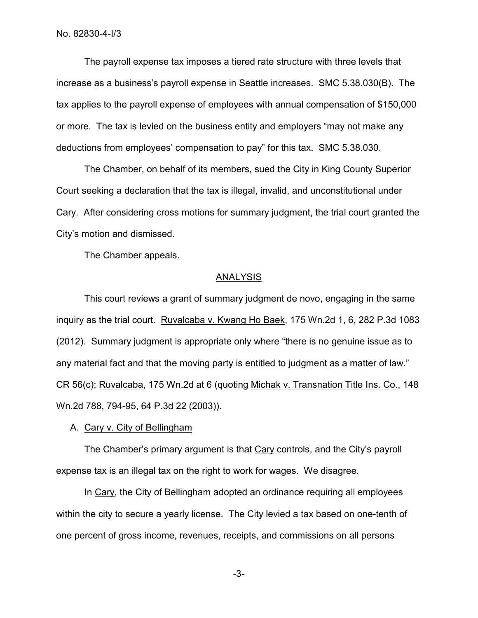The payroll expense tax imposes a tiered rate structure with three levels that increase as a business's payroll expense in Seattle increases. SMC 5.38.030(B). The tax applies to the payroll expense of employees with annual compensation of \$150,000 or more. The tax is levied on the business entity and employers "may not make any deductions from employees' compensation to pay" for this tax. SMC 5.38.030.

The Chamber, on behalf of its members, sued the City in King County Superior Court seeking a declaration that the tax is illegal, invalid, and unconstitutional under Cary. After considering cross motions for summary judgment, the trial court granted the City's motion and dismissed.

The Chamber appeals.

#### ANALYSIS

This court reviews a grant of summary judgment de novo, engaging in the same inquiry as the trial court. Ruvalcaba v. Kwang Ho Baek, 175 Wn.2d 1, 6, 282 P.3d 1083 (2012). Summary judgment is appropriate only where "there is no genuine issue as to any material fact and that the moving party is entitled to judgment as a matter of law." CR 56(c); Ruvalcaba, 175 Wn.2d at 6 (quoting Michak v. Transnation Title Ins. Co., 148 Wn.2d 788, 794-95, 64 P.3d 22 (2003)).

## A. Cary v. City of Bellingham

The Chamber's primary argument is that Cary controls, and the City's payroll expense tax is an illegal tax on the right to work for wages. We disagree.

In Cary, the City of Bellingham adopted an ordinance requiring all employees within the city to secure a yearly license. The City levied a tax based on one-tenth of one percent of gross income, revenues, receipts, and commissions on all persons

-3-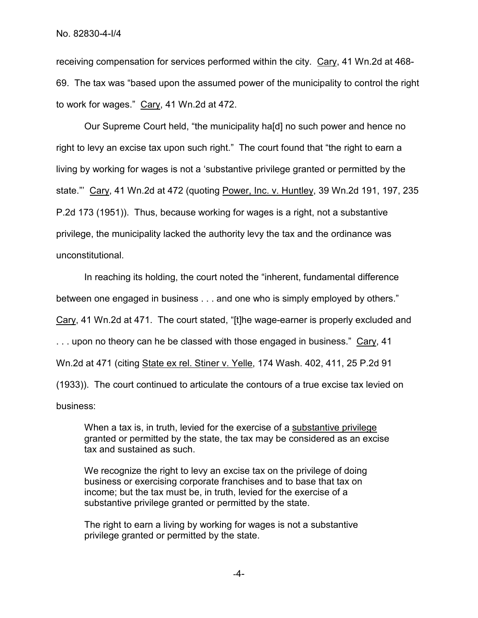receiving compensation for services performed within the city. Cary, 41 Wn.2d at 468- 69. The tax was "based upon the assumed power of the municipality to control the right to work for wages." Cary, 41 Wn.2d at 472.

Our Supreme Court held, "the municipality ha[d] no such power and hence no right to levy an excise tax upon such right." The court found that "the right to earn a living by working for wages is not a 'substantive privilege granted or permitted by the state."' Cary, 41 Wn.2d at 472 (quoting Power, Inc. v. Huntley, 39 Wn.2d 191, 197, 235 P.2d 173 (1951)). Thus, because working for wages is a right, not a substantive privilege, the municipality lacked the authority levy the tax and the ordinance was unconstitutional.

In reaching its holding, the court noted the "inherent, fundamental difference between one engaged in business . . . and one who is simply employed by others." Cary, 41 Wn.2d at 471. The court stated, "[t]he wage-earner is properly excluded and . . . upon no theory can he be classed with those engaged in business." Cary, 41 Wn.2d at 471 (citing State ex rel. Stiner v. Yelle, 174 Wash. 402, 411, 25 P.2d 91 (1933)). The court continued to articulate the contours of a true excise tax levied on business:

When a tax is, in truth, levied for the exercise of a substantive privilege granted or permitted by the state, the tax may be considered as an excise tax and sustained as such.

We recognize the right to levy an excise tax on the privilege of doing business or exercising corporate franchises and to base that tax on income; but the tax must be, in truth, levied for the exercise of a substantive privilege granted or permitted by the state.

The right to earn a living by working for wages is not a substantive privilege granted or permitted by the state.

-4-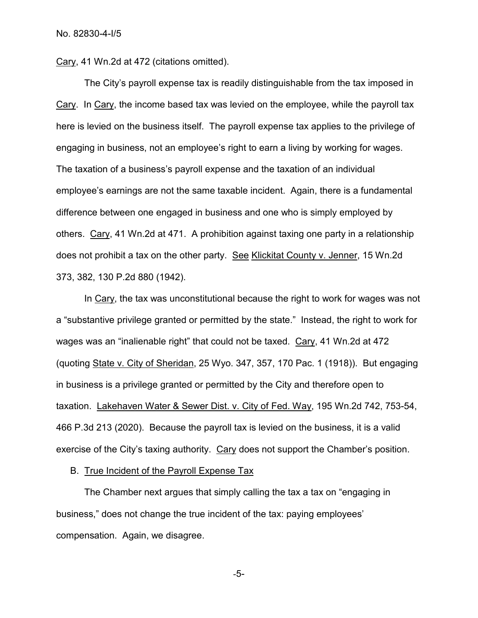Cary, 41 Wn.2d at 472 (citations omitted).

The City's payroll expense tax is readily distinguishable from the tax imposed in Cary. In Cary, the income based tax was levied on the employee, while the payroll tax here is levied on the business itself. The payroll expense tax applies to the privilege of engaging in business, not an employee's right to earn a living by working for wages. The taxation of a business's payroll expense and the taxation of an individual employee's earnings are not the same taxable incident. Again, there is a fundamental difference between one engaged in business and one who is simply employed by others. Cary, 41 Wn.2d at 471. A prohibition against taxing one party in a relationship does not prohibit a tax on the other party. See Klickitat County v. Jenner, 15 Wn.2d 373, 382, 130 P.2d 880 (1942).

In Cary, the tax was unconstitutional because the right to work for wages was not a "substantive privilege granted or permitted by the state." Instead, the right to work for wages was an "inalienable right" that could not be taxed. Cary, 41 Wn.2d at 472 (quoting State v. City of Sheridan, 25 Wyo. 347, 357, 170 Pac. 1 (1918)). But engaging in business is a privilege granted or permitted by the City and therefore open to taxation. Lakehaven Water & Sewer Dist. v. City of Fed. Way, 195 Wn.2d 742, 753-54, 466 P.3d 213 (2020). Because the payroll tax is levied on the business, it is a valid exercise of the City's taxing authority. Cary does not support the Chamber's position.

B. True Incident of the Payroll Expense Tax

The Chamber next argues that simply calling the tax a tax on "engaging in business," does not change the true incident of the tax: paying employees' compensation. Again, we disagree.

-5-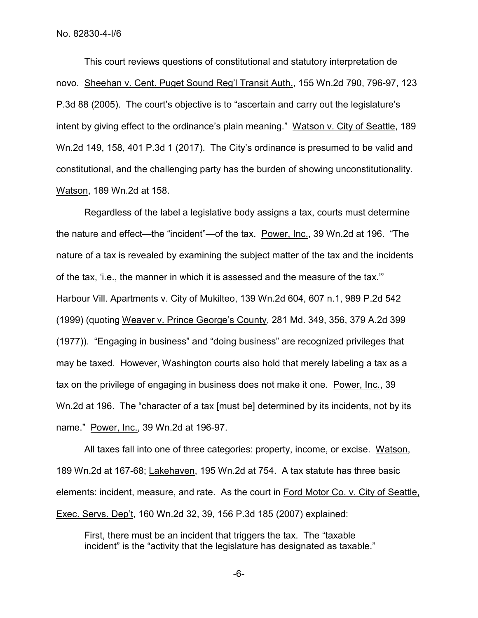This court reviews questions of constitutional and statutory interpretation de novo. Sheehan v. Cent. Puget Sound Reg'l Transit Auth., 155 Wn.2d 790, 796-97, 123 P.3d 88 (2005). The court's objective is to "ascertain and carry out the legislature's intent by giving effect to the ordinance's plain meaning." Watson v. City of Seattle, 189 Wn.2d 149, 158, 401 P.3d 1 (2017). The City's ordinance is presumed to be valid and constitutional, and the challenging party has the burden of showing unconstitutionality. Watson, 189 Wn.2d at 158.

Regardless of the label a legislative body assigns a tax, courts must determine the nature and effect—the "incident"—of the tax. Power, Inc., 39 Wn.2d at 196. "The nature of a tax is revealed by examining the subject matter of the tax and the incidents of the tax, 'i.e., the manner in which it is assessed and the measure of the tax."' Harbour Vill. Apartments v. City of Mukilteo, 139 Wn.2d 604, 607 n.1, 989 P.2d 542 (1999) (quoting Weaver v. Prince George's County, 281 Md. 349, 356, 379 A.2d 399 (1977)). "Engaging in business" and "doing business" are recognized privileges that may be taxed. However, Washington courts also hold that merely labeling a tax as a tax on the privilege of engaging in business does not make it one. Power, Inc., 39 Wn.2d at 196. The "character of a tax [must be] determined by its incidents, not by its name." Power, Inc., 39 Wn.2d at 196-97.

All taxes fall into one of three categories: property, income, or excise. Watson, 189 Wn.2d at 167-68; Lakehaven, 195 Wn.2d at 754. A tax statute has three basic elements: incident, measure, and rate. As the court in Ford Motor Co. v. City of Seattle, Exec. Servs. Dep't, 160 Wn.2d 32, 39, 156 P.3d 185 (2007) explained:

First, there must be an incident that triggers the tax. The "taxable incident" is the "activity that the legislature has designated as taxable."

-6-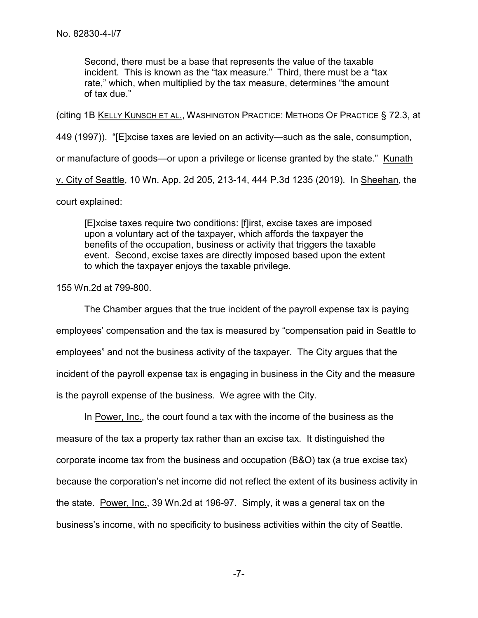Second, there must be a base that represents the value of the taxable incident. This is known as the "tax measure." Third, there must be a "tax rate," which, when multiplied by the tax measure, determines "the amount of tax due."

(citing 1B KELLY KUNSCH ET AL., WASHINGTON PRACTICE: METHODS OF PRACTICE § 72.3, at

449 (1997)). "[E]xcise taxes are levied on an activity—such as the sale, consumption,

or manufacture of goods—or upon a privilege or license granted by the state." Kunath

v. City of Seattle, 10 Wn. App. 2d 205, 213-14, 444 P.3d 1235 (2019). In Sheehan, the

court explained:

[E]xcise taxes require two conditions: [f]irst, excise taxes are imposed upon a voluntary act of the taxpayer, which affords the taxpayer the benefits of the occupation, business or activity that triggers the taxable event. Second, excise taxes are directly imposed based upon the extent to which the taxpayer enjoys the taxable privilege.

155 Wn.2d at 799-800.

The Chamber argues that the true incident of the payroll expense tax is paying employees' compensation and the tax is measured by "compensation paid in Seattle to employees" and not the business activity of the taxpayer. The City argues that the incident of the payroll expense tax is engaging in business in the City and the measure is the payroll expense of the business. We agree with the City.

In Power, Inc., the court found a tax with the income of the business as the measure of the tax a property tax rather than an excise tax. It distinguished the corporate income tax from the business and occupation (B&O) tax (a true excise tax) because the corporation's net income did not reflect the extent of its business activity in the state. Power, Inc., 39 Wn.2d at 196-97. Simply, it was a general tax on the business's income, with no specificity to business activities within the city of Seattle.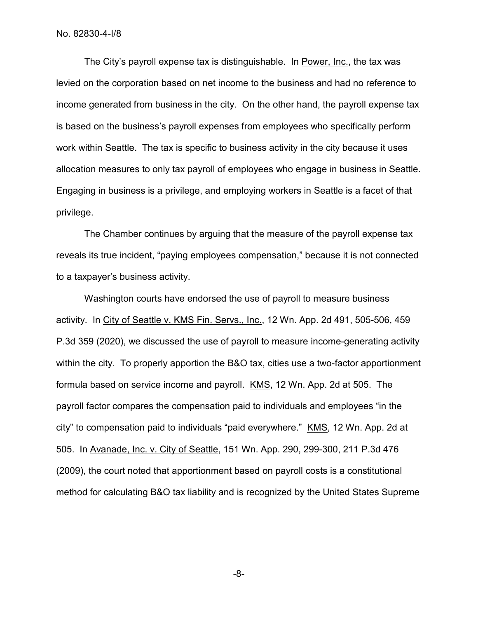The City's payroll expense tax is distinguishable. In Power, Inc., the tax was levied on the corporation based on net income to the business and had no reference to income generated from business in the city. On the other hand, the payroll expense tax is based on the business's payroll expenses from employees who specifically perform work within Seattle. The tax is specific to business activity in the city because it uses allocation measures to only tax payroll of employees who engage in business in Seattle. Engaging in business is a privilege, and employing workers in Seattle is a facet of that privilege.

The Chamber continues by arguing that the measure of the payroll expense tax reveals its true incident, "paying employees compensation," because it is not connected to a taxpayer's business activity.

Washington courts have endorsed the use of payroll to measure business activity. In City of Seattle v. KMS Fin. Servs., Inc., 12 Wn. App. 2d 491, 505-506, 459 P.3d 359 (2020), we discussed the use of payroll to measure income-generating activity within the city. To properly apportion the B&O tax, cities use a two-factor apportionment formula based on service income and payroll. KMS, 12 Wn. App. 2d at 505. The payroll factor compares the compensation paid to individuals and employees "in the city" to compensation paid to individuals "paid everywhere." KMS, 12 Wn. App. 2d at 505. In Avanade, Inc. v. City of Seattle, 151 Wn. App. 290, 299-300, 211 P.3d 476 (2009), the court noted that apportionment based on payroll costs is a constitutional method for calculating B&O tax liability and is recognized by the United States Supreme

-8-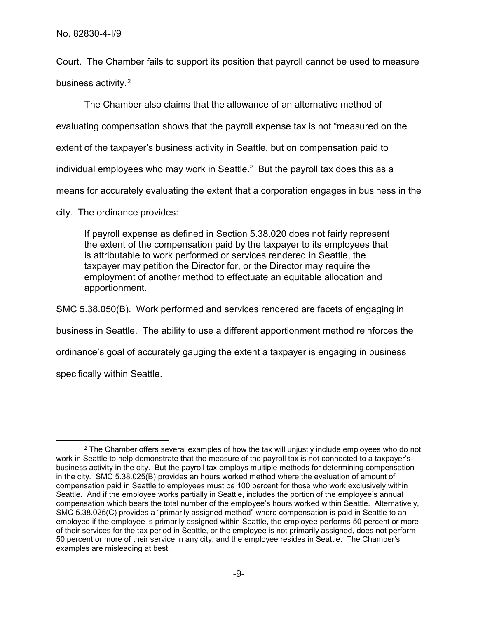Court. The Chamber fails to support its position that payroll cannot be used to measure business activity.<sup>2</sup>

The Chamber also claims that the allowance of an alternative method of evaluating compensation shows that the payroll expense tax is not "measured on the extent of the taxpayer's business activity in Seattle, but on compensation paid to individual employees who may work in Seattle." But the payroll tax does this as a means for accurately evaluating the extent that a corporation engages in business in the

city. The ordinance provides:

If payroll expense as defined in Section 5.38.020 does not fairly represent the extent of the compensation paid by the taxpayer to its employees that is attributable to work performed or services rendered in Seattle, the taxpayer may petition the Director for, or the Director may require the employment of another method to effectuate an equitable allocation and apportionment.

SMC 5.38.050(B). Work performed and services rendered are facets of engaging in business in Seattle. The ability to use a different apportionment method reinforces the ordinance's goal of accurately gauging the extent a taxpayer is engaging in business specifically within Seattle.

<span id="page-8-0"></span> $\overline{a}$  $2$  The Chamber offers several examples of how the tax will unjustly include employees who do not work in Seattle to help demonstrate that the measure of the payroll tax is not connected to a taxpayer's business activity in the city. But the payroll tax employs multiple methods for determining compensation in the city. SMC 5.38.025(B) provides an hours worked method where the evaluation of amount of compensation paid in Seattle to employees must be 100 percent for those who work exclusively within Seattle. And if the employee works partially in Seattle, includes the portion of the employee's annual compensation which bears the total number of the employee's hours worked within Seattle. Alternatively, SMC 5.38.025(C) provides a "primarily assigned method" where compensation is paid in Seattle to an employee if the employee is primarily assigned within Seattle, the employee performs 50 percent or more of their services for the tax period in Seattle, or the employee is not primarily assigned, does not perform 50 percent or more of their service in any city, and the employee resides in Seattle. The Chamber's examples are misleading at best.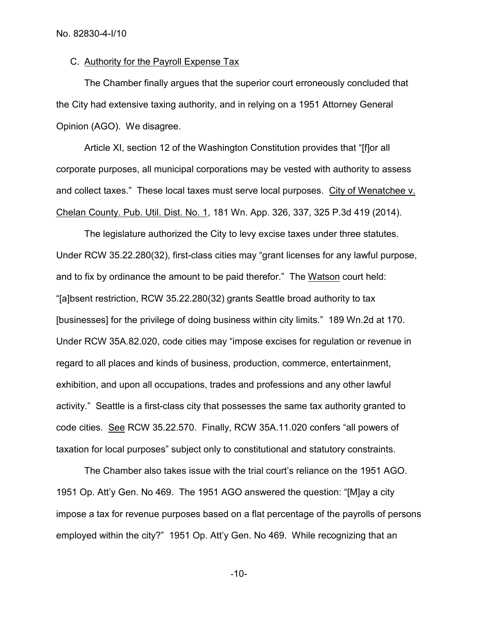## C. Authority for the Payroll Expense Tax

The Chamber finally argues that the superior court erroneously concluded that the City had extensive taxing authority, and in relying on a 1951 Attorney General Opinion (AGO). We disagree.

Article XI, section 12 of the Washington Constitution provides that "[f]or all corporate purposes, all municipal corporations may be vested with authority to assess and collect taxes." These local taxes must serve local purposes. City of Wenatchee v. Chelan County. Pub. Util. Dist. No. 1, 181 Wn. App. 326, 337, 325 P.3d 419 (2014).

The legislature authorized the City to levy excise taxes under three statutes. Under RCW 35.22.280(32), first-class cities may "grant licenses for any lawful purpose, and to fix by ordinance the amount to be paid therefor." The Watson court held: "[a]bsent restriction, RCW 35.22.280(32) grants Seattle broad authority to tax [businesses] for the privilege of doing business within city limits." 189 Wn.2d at 170. Under RCW 35A.82.020, code cities may "impose excises for regulation or revenue in regard to all places and kinds of business, production, commerce, entertainment, exhibition, and upon all occupations, trades and professions and any other lawful activity." Seattle is a first-class city that possesses the same tax authority granted to code cities. See RCW 35.22.570. Finally, RCW 35A.11.020 confers "all powers of taxation for local purposes" subject only to constitutional and statutory constraints.

The Chamber also takes issue with the trial court's reliance on the 1951 AGO. 1951 Op. Att'y Gen. No 469. The 1951 AGO answered the question: "[M]ay a city impose a tax for revenue purposes based on a flat percentage of the payrolls of persons employed within the city?" 1951 Op. Att'y Gen. No 469. While recognizing that an

-10-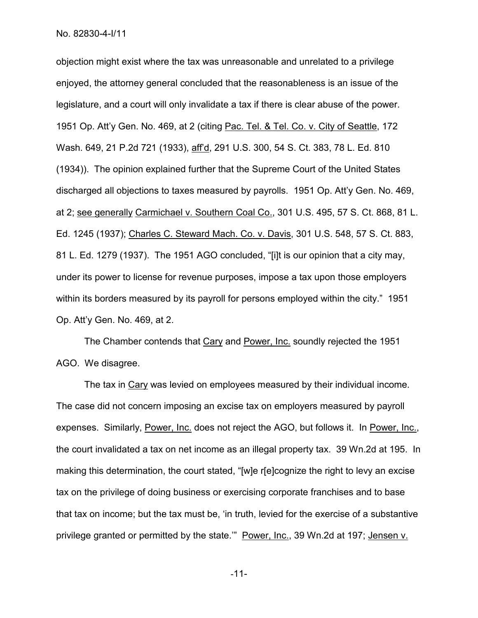objection might exist where the tax was unreasonable and unrelated to a privilege enjoyed, the attorney general concluded that the reasonableness is an issue of the legislature, and a court will only invalidate a tax if there is clear abuse of the power. 1951 Op. Att'y Gen. No. 469, at 2 (citing Pac. Tel. & Tel. Co. v. City of Seattle, 172 Wash. 649, 21 P.2d 721 (1933), aff'd, 291 U.S. 300, 54 S. Ct. 383, 78 L. Ed. 810 (1934)). The opinion explained further that the Supreme Court of the United States discharged all objections to taxes measured by payrolls. 1951 Op. Att'y Gen. No. 469, at 2; see generally Carmichael v. Southern Coal Co., 301 U.S. 495, 57 S. Ct. 868, 81 L. Ed. 1245 (1937); Charles C. Steward Mach. Co. v. Davis, 301 U.S. 548, 57 S. Ct. 883, 81 L. Ed. 1279 (1937). The 1951 AGO concluded, "[i]t is our opinion that a city may, under its power to license for revenue purposes, impose a tax upon those employers within its borders measured by its payroll for persons employed within the city." 1951 Op. Att'y Gen. No. 469, at 2.

The Chamber contends that Cary and Power, Inc. soundly rejected the 1951 AGO. We disagree.

The tax in Cary was levied on employees measured by their individual income. The case did not concern imposing an excise tax on employers measured by payroll expenses. Similarly, Power, Inc. does not reject the AGO, but follows it. In Power, Inc., the court invalidated a tax on net income as an illegal property tax. 39 Wn.2d at 195. In making this determination, the court stated, "[w]e r[e]cognize the right to levy an excise tax on the privilege of doing business or exercising corporate franchises and to base that tax on income; but the tax must be, 'in truth, levied for the exercise of a substantive privilege granted or permitted by the state." Power, Inc., 39 Wn.2d at 197; Jensen v.

-11-